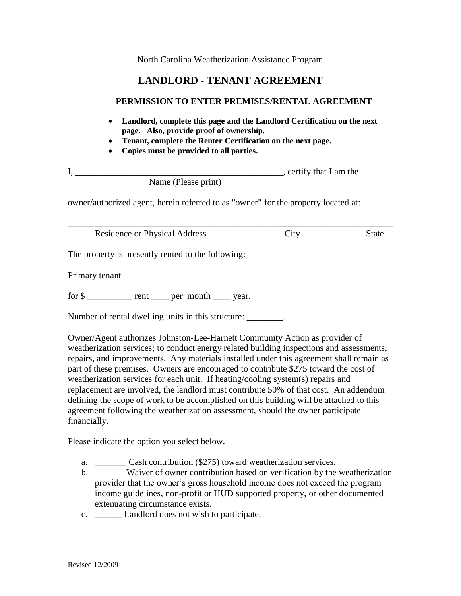North Carolina Weatherization Assistance Program

## **LANDLORD - TENANT AGREEMENT**

## **PERMISSION TO ENTER PREMISES/RENTAL AGREEMENT**

- **Landlord, complete this page and the Landlord Certification on the next page. Also, provide proof of ownership.**
- **Tenant, complete the Renter Certification on the next page.**
- **Copies must be provided to all parties.**

| $\mathbf{I},$                                                                      | $\overline{a}$ , certify that I am the |              |
|------------------------------------------------------------------------------------|----------------------------------------|--------------|
| Name (Please print)                                                                |                                        |              |
| owner/authorized agent, herein referred to as "owner" for the property located at: |                                        |              |
| <b>Residence or Physical Address</b>                                               | City                                   | <b>State</b> |
| The property is presently rented to the following:                                 |                                        |              |
|                                                                                    |                                        |              |
| for $\frac{1}{2}$ rent ______ per month _____ year.                                |                                        |              |
| Number of rental dwelling units in this structure: ________.                       |                                        |              |

Owner/Agent authorizes Johnston-Lee-Harnett Community Action as provider of weatherization services; to conduct energy related building inspections and assessments, repairs, and improvements. Any materials installed under this agreement shall remain as part of these premises. Owners are encouraged to contribute \$275 toward the cost of weatherization services for each unit. If heating/cooling system(s) repairs and replacement are involved, the landlord must contribute 50% of that cost. An addendum defining the scope of work to be accomplished on this building will be attached to this agreement following the weatherization assessment, should the owner participate financially.

Please indicate the option you select below.

- a. \_\_\_\_\_\_\_ Cash contribution (\$275) toward weatherization services.
- b. \_\_\_\_\_\_\_Waiver of owner contribution based on verification by the weatherization provider that the owner's gross household income does not exceed the program income guidelines, non-profit or HUD supported property, or other documented extenuating circumstance exists.
- c. Landlord does not wish to participate.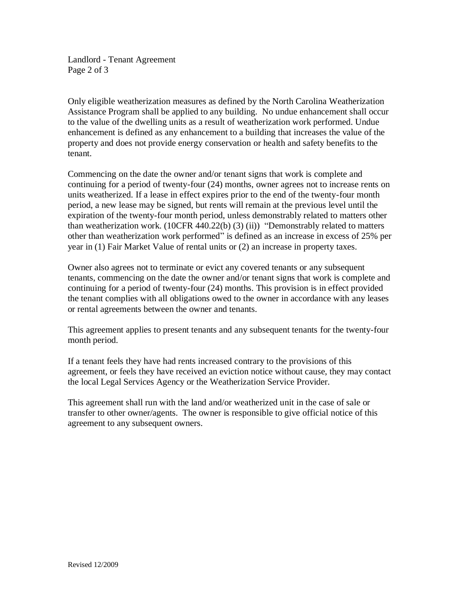Landlord - Tenant Agreement Page 2 of 3

Only eligible weatherization measures as defined by the North Carolina Weatherization Assistance Program shall be applied to any building. No undue enhancement shall occur to the value of the dwelling units as a result of weatherization work performed. Undue enhancement is defined as any enhancement to a building that increases the value of the property and does not provide energy conservation or health and safety benefits to the tenant.

Commencing on the date the owner and/or tenant signs that work is complete and continuing for a period of twenty-four (24) months, owner agrees not to increase rents on units weatherized. If a lease in effect expires prior to the end of the twenty-four month period, a new lease may be signed, but rents will remain at the previous level until the expiration of the twenty-four month period, unless demonstrably related to matters other than weatherization work.  $(10CFR 440.22(b) (3) (ii))$  "Demonstrably related to matters other than weatherization work performed" is defined as an increase in excess of 25% per year in (1) Fair Market Value of rental units or (2) an increase in property taxes.

Owner also agrees not to terminate or evict any covered tenants or any subsequent tenants, commencing on the date the owner and/or tenant signs that work is complete and continuing for a period of twenty-four (24) months. This provision is in effect provided the tenant complies with all obligations owed to the owner in accordance with any leases or rental agreements between the owner and tenants.

This agreement applies to present tenants and any subsequent tenants for the twenty-four month period.

If a tenant feels they have had rents increased contrary to the provisions of this agreement, or feels they have received an eviction notice without cause, they may contact the local Legal Services Agency or the Weatherization Service Provider.

This agreement shall run with the land and/or weatherized unit in the case of sale or transfer to other owner/agents. The owner is responsible to give official notice of this agreement to any subsequent owners.